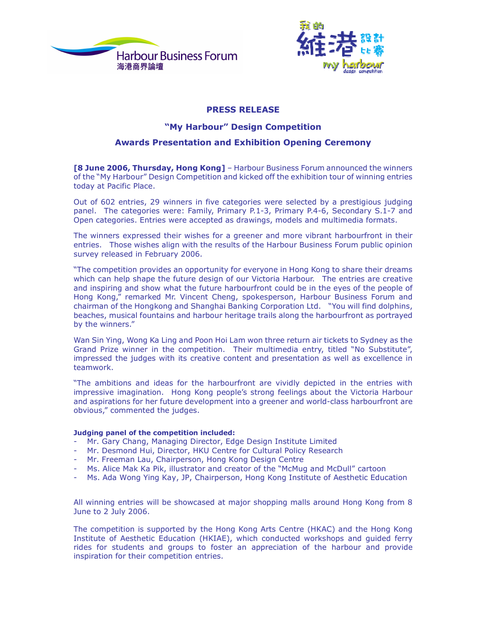



# **PRESS RELEASE**

### "My Harbour" Design Competition

## **Awards Presentation and Exhibition Opening Ceremony**

[8 June 2006, Thursday, Hong Kong] - Harbour Business Forum announced the winners of the "My Harbour" Design Competition and kicked off the exhibition tour of winning entries today at Pacific Place.

Out of 602 entries, 29 winners in five categories were selected by a prestigious judging panel. The categories were: Family, Primary P.1-3, Primary P.4-6, Secondary S.1-7 and Open categories. Entries were accepted as drawings, models and multimedia formats.

The winners expressed their wishes for a greener and more vibrant harbourfront in their entries. Those wishes align with the results of the Harbour Business Forum public opinion survey released in February 2006.

"The competition provides an opportunity for everyone in Hong Kong to share their dreams which can help shape the future design of our Victoria Harbour. The entries are creative and inspiring and show what the future harbourfront could be in the eyes of the people of Hong Kong," remarked Mr. Vincent Cheng, spokesperson, Harbour Business Forum and chairman of the Hongkong and Shanghai Banking Corporation Ltd. "You will find dolphins, beaches, musical fountains and harbour heritage trails along the harbourfront as portrayed by the winners."

Wan Sin Ying, Wong Ka Ling and Poon Hoi Lam won three return air tickets to Sydney as the Grand Prize winner in the competition. Their multimedia entry, titled "No Substitute", impressed the judges with its creative content and presentation as well as excellence in teamwork.

"The ambitions and ideas for the harbourfront are vividly depicted in the entries with impressive imagination. Hong Kong people's strong feelings about the Victoria Harbour and aspirations for her future development into a greener and world-class harbourfront are obvious," commented the judges.

### Judging panel of the competition included:

- Mr. Gary Chang, Managing Director, Edge Design Institute Limited
- Mr. Desmond Hui, Director, HKU Centre for Cultural Policy Research
- Mr. Freeman Lau, Chairperson, Hong Kong Design Centre
- Ms. Alice Mak Ka Pik, illustrator and creator of the "McMug and McDull" cartoon
- Ms. Ada Wong Ying Kay, JP, Chairperson, Hong Kong Institute of Aesthetic Education

All winning entries will be showcased at major shopping malls around Hong Kong from 8 June to 2 July 2006.

The competition is supported by the Hong Kong Arts Centre (HKAC) and the Hong Kong Institute of Aesthetic Education (HKIAE), which conducted workshops and guided ferry rides for students and groups to foster an appreciation of the harbour and provide inspiration for their competition entries.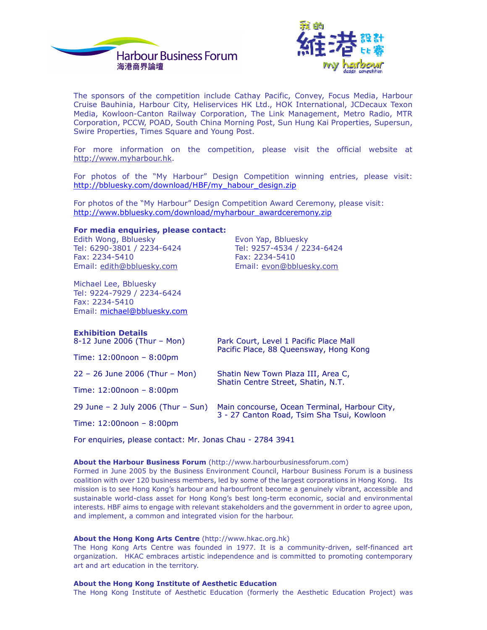



The sponsors of the competition include Cathay Pacific, Convey, Focus Media, Harbour Cruise Bauhinia, Harbour City, Heliservices HK Ltd., HOK International, JCDecaux Texon Media, Kowloon-Canton Railway Corporation, The Link Management, Metro Radio, MTR Corporation, PCCW, POAD, South China Morning Post, Sun Hung Kai Properties, Supersun, Swire Properties, Times Square and Young Post.

For more information on the competition, please visit the official website at http://www.myharbour.hk.

For photos of the "My Harbour" Design Competition winning entries, please visit: http://bbluesky.com/download/HBF/my habour design.zip

For photos of the "My Harbour" Design Competition Award Ceremony, please visit: http://www.bbluesky.com/download/myharbour\_awardceremony.zip

#### For media enquiries, please contact:

Edith Wong, Bbluesky Tel: 6290-3801 / 2234-6424 Fax: 2234-5410 Email: edith@bbluesky.com

Michael Lee, Bbluesky Tel: 9224-7929 / 2234-6424 Fax: 2234-5410 Email: michael@bbluesky.com

Evon Yap, Bbluesky Tel: 9257-4534 / 2234-6424 Fax: 2234-5410 Email: evon@bbluesky.com

| <b>Exhibition Details</b><br>8-12 June 2006 (Thur – Mon) | Park Court, Level 1 Pacific Place Mall<br>Pacific Place, 88 Queensway, Hong Kong            |
|----------------------------------------------------------|---------------------------------------------------------------------------------------------|
| Time: $12:00$ noon - $8:00$ pm                           |                                                                                             |
| $22 - 26$ June 2006 (Thur - Mon)                         | Shatin New Town Plaza III, Area C,<br>Shatin Centre Street, Shatin, N.T.                    |
| Time: $12:00$ noon - $8:00$ pm                           |                                                                                             |
| $29$ June – 2 July 2006 (Thur – Sun)                     | Main concourse, Ocean Terminal, Harbour City,<br>3 - 27 Canton Road, Tsim Sha Tsui, Kowloon |
| Time: $12:00$ noon - $8:00$ pm                           |                                                                                             |

For enquiries, please contact: Mr. Jonas Chau - 2784 3941

#### About the Harbour Business Forum (http://www.harbourbusinessforum.com)

Formed in June 2005 by the Business Environment Council, Harbour Business Forum is a business coalition with over 120 business members, led by some of the largest corporations in Hong Kong. Its mission is to see Hong Kong's harbour and harbourfront become a genuinely vibrant, accessible and sustainable world-class asset for Hong Kong's best long-term economic, social and environmental interests. HBF aims to engage with relevant stakeholders and the government in order to agree upon, and implement, a common and integrated vision for the harbour.

#### About the Hong Kong Arts Centre (http://www.hkac.org.hk)

The Hong Kong Arts Centre was founded in 1977. It is a community-driven, self-financed art organization. HKAC embraces artistic independence and is committed to promoting contemporary art and art education in the territory.

#### About the Hong Kong Institute of Aesthetic Education

The Hong Kong Institute of Aesthetic Education (formerly the Aesthetic Education Project) was